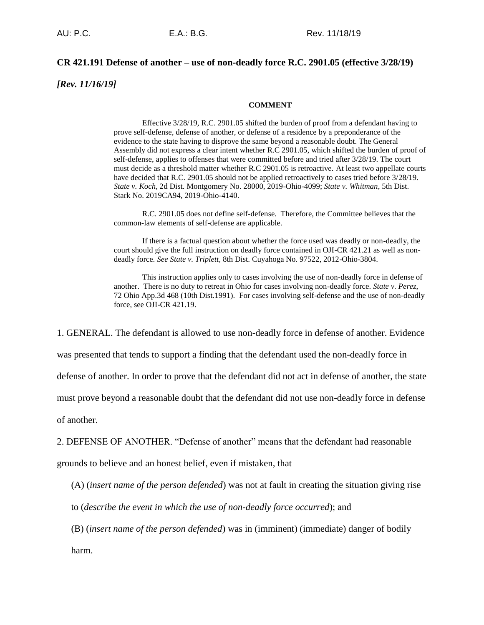# **CR 421.191 Defense of another – use of non-deadly force R.C. 2901.05 (effective 3/28/19)**

*[Rev. 11/16/19]*

#### **COMMENT**

Effective 3/28/19, R.C. 2901.05 shifted the burden of proof from a defendant having to prove self-defense, defense of another, or defense of a residence by a preponderance of the evidence to the state having to disprove the same beyond a reasonable doubt. The General Assembly did not express a clear intent whether R.C 2901.05, which shifted the burden of proof of self-defense, applies to offenses that were committed before and tried after 3/28/19. The court must decide as a threshold matter whether R.C 2901.05 is retroactive. At least two appellate courts have decided that R.C. 2901.05 should not be applied retroactively to cases tried before 3/28/19. *State v. Koch*, 2d Dist. Montgomery No. 28000, 2019-Ohio-4099; *State v. Whitman*, 5th Dist. Stark No. 2019CA94, 2019-Ohio-4140.

R.C. 2901.05 does not define self-defense. Therefore, the Committee believes that the common-law elements of self-defense are applicable.

If there is a factual question about whether the force used was deadly or non-deadly, the court should give the full instruction on deadly force contained in OJI-CR 421.21 as well as nondeadly force. *See State v. Triplett*, 8th Dist. Cuyahoga No. 97522, 2012-Ohio-3804.

This instruction applies only to cases involving the use of non-deadly force in defense of another. There is no duty to retreat in Ohio for cases involving non-deadly force. *State v. Perez*, 72 Ohio App.3d 468 (10th Dist.1991). For cases involving self-defense and the use of non-deadly force, see OJI-CR 421.19.

1. GENERAL. The defendant is allowed to use non-deadly force in defense of another. Evidence

was presented that tends to support a finding that the defendant used the non-deadly force in

defense of another. In order to prove that the defendant did not act in defense of another, the state

must prove beyond a reasonable doubt that the defendant did not use non-deadly force in defense

of another.

2. DEFENSE OF ANOTHER. "Defense of another" means that the defendant had reasonable

grounds to believe and an honest belief, even if mistaken, that

(A) (*insert name of the person defended*) was not at fault in creating the situation giving rise

to (*describe the event in which the use of non-deadly force occurred*); and

(B) (*insert name of the person defended*) was in (imminent) (immediate) danger of bodily harm.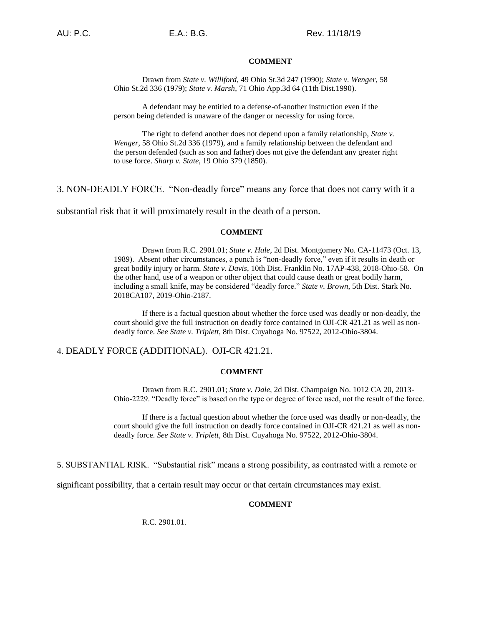# **COMMENT**

Drawn from *State v. Williford*, 49 Ohio St.3d 247 (1990); *State v. Wenger*, 58 Ohio St.2d 336 (1979); *State v. Marsh*, 71 Ohio App.3d 64 (11th Dist.1990).

A defendant may be entitled to a defense-of-another instruction even if the person being defended is unaware of the danger or necessity for using force.

The right to defend another does not depend upon a family relationship, *State v. Wenger*, 58 Ohio St.2d 336 (1979), and a family relationship between the defendant and the person defended (such as son and father) does not give the defendant any greater right to use force. *Sharp v. State*, 19 Ohio 379 (1850).

3. NON-DEADLY FORCE. "Non-deadly force" means any force that does not carry with it a

substantial risk that it will proximately result in the death of a person.

### **COMMENT**

Drawn from R.C. 2901.01; *State v. Hale*, 2d Dist. Montgomery No. CA-11473 (Oct. 13, 1989). Absent other circumstances, a punch is "non-deadly force," even if it results in death or great bodily injury or harm. *State v. Davis*, 10th Dist. Franklin No. 17AP-438, 2018-Ohio-58. On the other hand, use of a weapon or other object that could cause death or great bodily harm, including a small knife, may be considered "deadly force." *State v. Brown*, 5th Dist. Stark No. 2018CA107, 2019-Ohio-2187.

If there is a factual question about whether the force used was deadly or non-deadly, the court should give the full instruction on deadly force contained in OJI-CR 421.21 as well as nondeadly force. *See State v. Triplett*, 8th Dist. Cuyahoga No. 97522, 2012-Ohio-3804.

# 4. DEADLY FORCE (ADDITIONAL). OJI-CR 421.21.

#### **COMMENT**

Drawn from R.C. 2901.01; *State v. Dale,* 2d Dist. Champaign No. 1012 CA 20, 2013- Ohio-2229. "Deadly force" is based on the type or degree of force used, not the result of the force.

If there is a factual question about whether the force used was deadly or non-deadly, the court should give the full instruction on deadly force contained in OJI-CR 421.21 as well as nondeadly force. *See State v. Triplett*, 8th Dist. Cuyahoga No. 97522, 2012-Ohio-3804.

5. SUBSTANTIAL RISK. "Substantial risk" means a strong possibility, as contrasted with a remote or

significant possibility, that a certain result may occur or that certain circumstances may exist.

### **COMMENT**

R.C. 2901.01.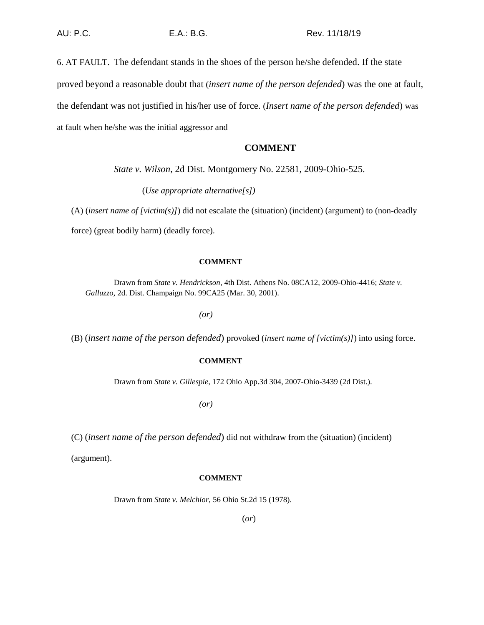6. AT FAULT. The defendant stands in the shoes of the person he/she defended. If the state

proved beyond a reasonable doubt that (*insert name of the person defended*) was the one at fault,

the defendant was not justified in his/her use of force. (*Insert name of the person defended*) was

at fault when he/she was the initial aggressor and

# **COMMENT**

*State v. Wilson*, 2d Dist. Montgomery No. 22581, 2009-Ohio-525.

(*Use appropriate alternative[s])*

(A) (*insert name of [victim(s)]*) did not escalate the (situation) (incident) (argument) to (non-deadly force) (great bodily harm) (deadly force).

# **COMMENT**

Drawn from *State v. Hendrickson*, 4th Dist. Athens No. 08CA12, 2009-Ohio-4416; *State v. Galluzzo*, 2d. Dist. Champaign No. 99CA25 (Mar. 30, 2001).

*(or)*

(B) (*insert name of the person defended*) provoked (*insert name of [victim(s)]*) into using force.

# **COMMENT**

Drawn from *State v. Gillespie*, 172 Ohio App.3d 304, 2007-Ohio-3439 (2d Dist.).

*(or)*

(C) (*insert name of the person defended*) did not withdraw from the (situation) (incident)

(argument).

# **COMMENT**

Drawn from *State v. Melchior*, 56 Ohio St.2d 15 (1978).

(*or*)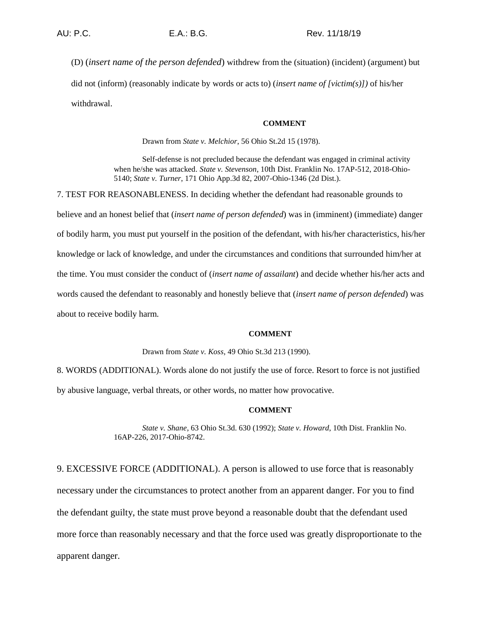(D) (*insert name of the person defended*) withdrew from the (situation) (incident) (argument) but did not (inform) (reasonably indicate by words or acts to) (*insert name of [victim(s)])* of his/her withdrawal.

#### **COMMENT**

Drawn from *State v. Melchior*, 56 Ohio St.2d 15 (1978).

Self-defense is not precluded because the defendant was engaged in criminal activity when he/she was attacked. *State v. Stevenson*, 10th Dist. Franklin No. 17AP-512, 2018-Ohio-5140; *State v. Turner*, 171 Ohio App.3d 82, 2007-Ohio-1346 (2d Dist.).

7. TEST FOR REASONABLENESS. In deciding whether the defendant had reasonable grounds to

believe and an honest belief that (*insert name of person defended*) was in (imminent) (immediate) danger

of bodily harm, you must put yourself in the position of the defendant, with his/her characteristics, his/her

knowledge or lack of knowledge, and under the circumstances and conditions that surrounded him/her at

the time. You must consider the conduct of (*insert name of assailant*) and decide whether his/her acts and

words caused the defendant to reasonably and honestly believe that (*insert name of person defended*) was

about to receive bodily harm.

#### **COMMENT**

#### Drawn from *State v. Koss*, 49 Ohio St.3d 213 (1990).

8. WORDS (ADDITIONAL). Words alone do not justify the use of force. Resort to force is not justified by abusive language, verbal threats, or other words, no matter how provocative.

# **COMMENT**

*State v. Shane*, 63 Ohio St.3d. 630 (1992); *State v. Howard*, 10th Dist. Franklin No. 16AP-226, 2017-Ohio-8742.

9. EXCESSIVE FORCE (ADDITIONAL). A person is allowed to use force that is reasonably necessary under the circumstances to protect another from an apparent danger. For you to find the defendant guilty, the state must prove beyond a reasonable doubt that the defendant used more force than reasonably necessary and that the force used was greatly disproportionate to the apparent danger.